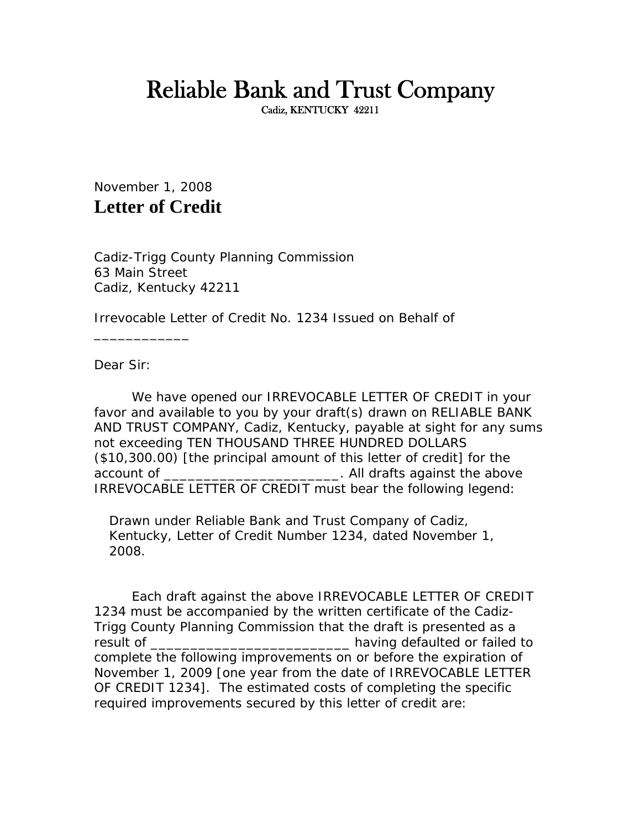## Reliable Bank and Trust Company

November 1, 2008 **Letter of Credit**

Cadiz-Trigg County Planning Commission 63 Main Street Cadiz, Kentucky 42211

Irrevocable Letter of Credit No. 1234 Issued on Behalf of

Dear Sir:

\_\_\_\_\_\_\_\_\_\_\_\_

We have opened our IRREVOCABLE LETTER OF CREDIT in your favor and available to you by your draft(s) drawn on RELIABLE BANK AND TRUST COMPANY, Cadiz, Kentucky, payable at sight for any sums not exceeding TEN THOUSAND THREE HUNDRED DOLLARS (\$10,300.00) [the principal amount of this letter of credit] for the account of \_\_\_\_\_\_\_\_\_\_\_\_\_\_\_\_\_\_\_\_\_\_\_\_\_. All drafts against the above IRREVOCABLE LETTER OF CREDIT must bear the following legend:

Drawn under Reliable Bank and Trust Company of Cadiz, Kentucky, Letter of Credit Number 1234, dated November 1, 2008.

Each draft against the above IRREVOCABLE LETTER OF CREDIT 1234 must be accompanied by the written certificate of the Cadiz-Trigg County Planning Commission that the draft is presented as a result of \_\_\_\_\_\_\_\_\_\_\_\_\_\_\_\_\_\_\_\_\_\_\_\_\_\_\_\_\_\_\_\_\_\_having defaulted or failed to complete the following improvements on or before the expiration of November 1, 2009 [one year from the date of IRREVOCABLE LETTER OF CREDIT 1234]. The estimated costs of completing the specific required improvements secured by this letter of credit are: